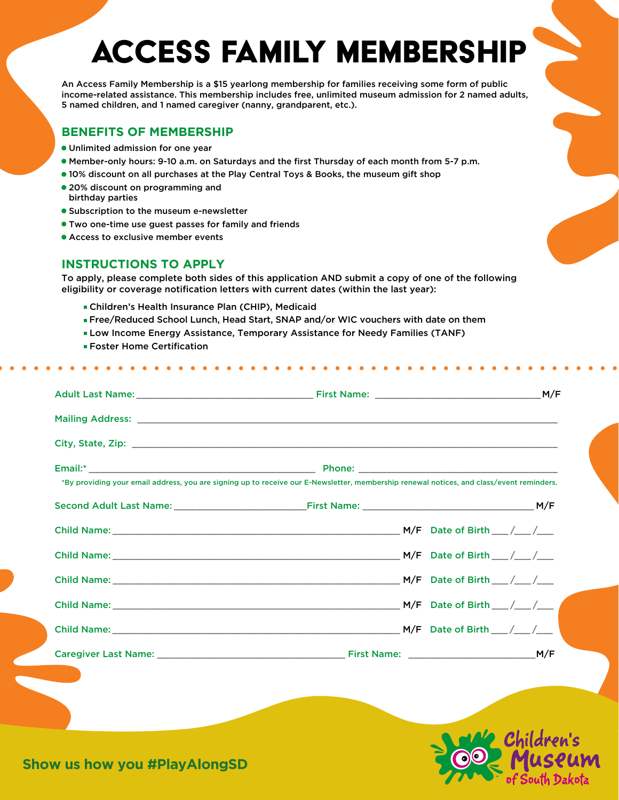# Access Family membership

An Access Family Membership is a \$15 yearlong membership for families receiving some form of public income-related assistance. This membership includes free, unlimited museum admission for 2 named adults, 5 named children, and 1 named caregiver (nanny, grandparent, etc.).

#### **BENEFITS OF MEMBERSHIP**

- **•** Unlimited admission for one year
- **•** Member-only hours: 9-10 a.m. on Saturdays and the first Thursday of each month from 5-7 p.m.
- **•** 10% discount on all purchases at the Play Central Toys & Books, the museum gift shop
- **•** 20% discount on programming and birthday parties
- **•** Subscription to the museum e-newsletter
- **•** Two one-time use guest passes for family and friends
- **•** Access to exclusive member events

#### **INSTRUCTIONS TO APPLY**

To apply, please complete both sides of this application AND submit a copy of one of the following eligibility or coverage notification letters with current dates (within the last year):

- ∙ Children's Health Insurance Plan (CHIP), Medicaid
- ∙ Free/Reduced School Lunch, Head Start, SNAP and/or WIC vouchers with date on them
- ∙ Low Income Energy Assistance, Temporary Assistance for Needy Families (TANF)
- ∙ Foster Home Certification

| *By providing your email address, you are signing up to receive our E-Newsletter, membership renewal notices, and class/event reminders. |  |  |
|------------------------------------------------------------------------------------------------------------------------------------------|--|--|
|                                                                                                                                          |  |  |
|                                                                                                                                          |  |  |
|                                                                                                                                          |  |  |
|                                                                                                                                          |  |  |
|                                                                                                                                          |  |  |
|                                                                                                                                          |  |  |
|                                                                                                                                          |  |  |



**Show us how you #PlayAlongSD**